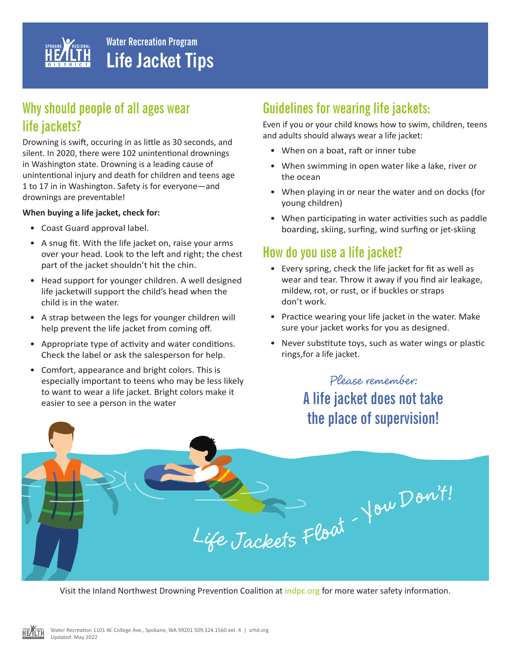

## **Why should people of all ages wear life jackets?**

Drowning is swift, occuring in as little as 30 seconds, and silent. In 2020, there were 102 unintentional drownings in Washington state. Drowning is a leading cause of unintentional injury and death for children and teens age 1 to 17 in in Washington. Safety is for everyone—and drownings are preventable!

#### **When buying a life jacket, check for:**

- Coast Guard approval label.
- A snug fit. With the life jacket on, raise your arms over your head. Look to the left and right; the chest part of the jacket shouldn't hit the chin.
- Head support for younger children. A well designed life jacketwill support the child's head when the child is in the water.
- A strap between the legs for younger children will help prevent the life jacket from coming off.
- Appropriate type of activity and water conditions. Check the label or ask the salesperson for help.
- Comfort, appearance and bright colors. This is especially important to teens who may be less likely to want to wear a life jacket. Bright colors make it easier to see a person in the water

## **Guidelines for wearing life jackets:**

Even if you or your child knows how to swim, children, teens and adults should always wear a life jacket:

- When on a boat, raft or inner tube
- When swimming in open water like a lake, river or the ocean
- When playing in or near the water and on docks (for young children)
- When participating in water activities such as paddle boarding, skiing, surfing, wind surfing or jet-skiing

## **How do you use a life jacket?**

- Every spring, check the life jacket for fit as well as wear and tear. Throw it away if you find air leakage, mildew, rot, or rust, or if buckles or straps don't work.
- Practice wearing your life jacket in the water. Make sure your jacket works for you as designed.
- Never substitute toys, such as water wings or plastic rings,for a life jacket.

# **Please remember: A life jacket does not take the place of supervision!**

**<sup>L</sup>if<sup>e</sup> <sup>J</sup>a<sup>c</sup>ket<sup>s</sup> <sup>F</sup>loa<sup>t</sup> – <sup>Y</sup>o<sup>u</sup> <sup>D</sup><sup>o</sup><sup>n</sup> 't!**

Visit the Inland Northwest Drowning Prevention Coalition at indpc.org for more water safety information.